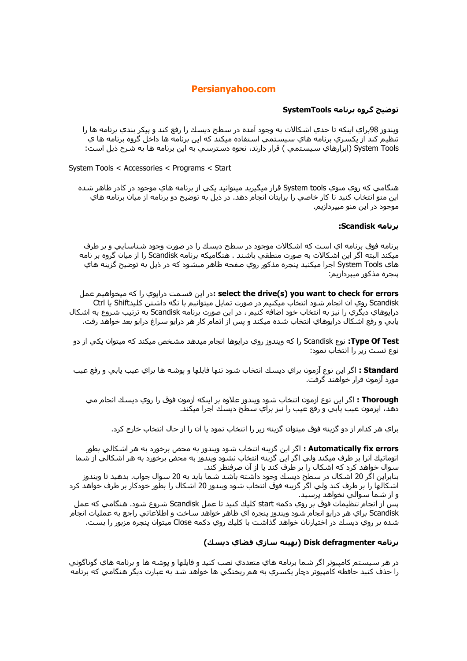# **Persianyahoo.com**

### توضیح گروه برنامه SystemTools

ويندوز 98براي اينکه تا حدي اشکالات به وجود آمده در سطح ديسك را رفع کند و پيکر بندي برنامه ها را تنظيم كند از يكسـري برنامه هاي سـيسـتمـي اسـتفاده ميكند كه اين برنامه ها داخل گروه برنامه ها ي System Tools (ابزارهاي سيستمي ) قرار دارند، نحوه دسترسپ به اين برنامه ها به شرح ذيل است:

System Tools < Accessories < Programs < Start

هنگامي که روي منوي System tools قرار ميگيريد ميتوانيد يکي از برنامه هاي موجود در کادر ظاهر شده اين منو انتخاب كنيد تا كار خاصي را برايتان انجام دهد. در ذيل به توضيح دو برنامه از ميان برنامه هاي موجود در این منو میپردازیم.

### برنامه Scandisk:

برنامه فوق برنامه اي است كه اشكالات موجود در سطح ديسك را در صورت وجود شناسايي و بر طرف میکند البته اگر این اشکالات به صورت منطقی باشند . هنگامیکه برنامه Scandisk را از میان گروه بر نامه هاي System Tools اجرا ميکنيد پنجره مذکور روي صفحه ظاهر ميشود که در ذيل به توضيح گزينه هاي ينجره مذكور مبيردازيم:

select the drive(s) you want to check for errors:در این قسمت درایوي را كه میخواهیم عمل Scandisk روي آن انجام شود انتخاب ميكنيم در صورت تمايل ميتوانيم با نگه داشتن كليدShift يا Ctrl درایوهاي دیگري را نیز به انتخاب خود اضافه کنیم ، در این صورت برنامه Scandisk به ترتیب شـروع به اشـکال يابي و رفع اشـكال درايوهاي انتخاب شـده ميكند و پس از اتمام كار هر درايو سـراغ درايو بعد خواهد رفت.

**Type Of Test:** نوع Scandisk را که ویندوز روي دراپوها انجام میدهد مشخص میکند که میتوان یکي از دو نوع تست زیر را انتخاب نمود:

**Standard :** اگر اين نوع آزمون براي ديسك انتخاب شود تنها فايلها و پوشـه ها براي عيب يابي و رفع عيب مورد ازمون قرار خواهند گرفت.

Thorough : اگر اين نوع آزمون انتخاب شود ويندوز علاوه بر اينكه آزمون فوق را روي ديسك انجام مي دهد، ايزمون عيب يابي و رفع عيب را نيز براي سطح ديسك اجرا ميكند.

براي هر كدام از دو گزينه فوق ميتوان گزينه زير را انتخاب نمود يا آن را از حال انتخاب خارج كرد.

**Automatically fix errors :** اگر اين گزينه انتخاب شـود ويندوز به محض برخورد به هر اشـكالـي بطور اتوماتيك آنرا بر طرف ميكند ولي اگر اين گزينه انتخاب نشود ويندوز به محض برخورد به هر اشكالي از شما سوال خواهد کرد که اشکال را بر طرف کند یا از آن صرفنظر کند.

بنابراین اگر 20 اشکال در سطح دیسك وجود داشته باشد شما باید به 20 سوال جواب. بدهید تا ویندوز اشـكالـها را بر طرف كند ولي اگر گزينه فوق انتخاب شـود ويندوز 20 اشـكال را بطور خودكار بر طرف خواهد كرد و از شما سوالي نخواهد پرسيد.

پس از انجام تنظیمات فوق بر روي دکمه start کليك کنيد تا عمل Scandisk شـروع شود. هنگامي که عمل Scandisk براي هر درايو انجام شود ويندوز پنجره اي ظاهر خواهد سـاخت و اطلاعاتي راجع به عمليات انجام<sub>.</sub> شده بر روي ديسك در اختيارتان خواهد گذاشت با كليك روي دكمه Close ميتوان پنجره مزبور را بست.

## برنامه Disk defragmenter (بهينه سازي فضاي ديسك)

در هر سـيسـتم كامپيوتر اگر شـما برنامه هاي متعددي نصب كنيد و فايلـها و پوشـه ها و برنامه هاي گوناگوني را حذف کنيد حافظه کامپيوتر دچار پکسري به هم ريختگي ها خواهد شد به عبارت ديگر هنگامي که برنامه